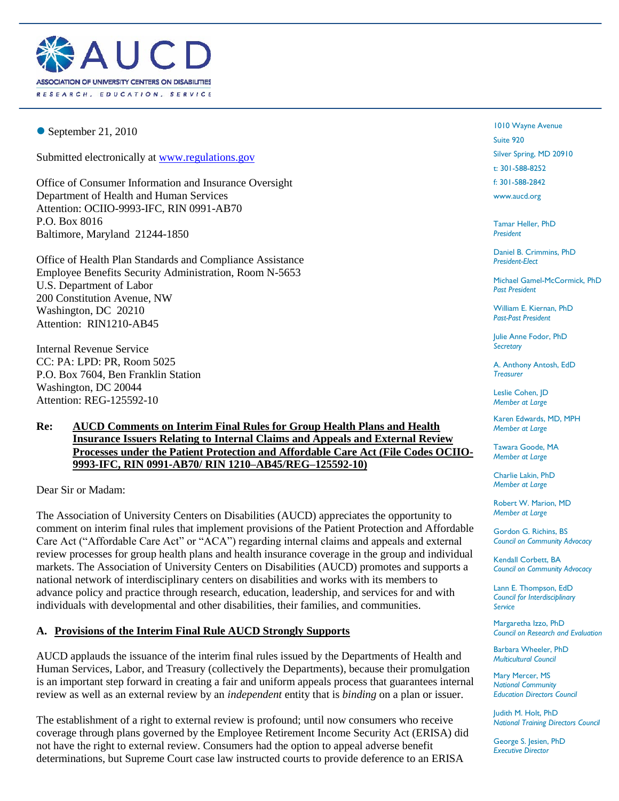

 $\bullet$  September 21, 2010

Submitted electronically at [www.regulations.gov](http://www.regulations.gov/)

Office of Consumer Information and Insurance Oversight Department of Health and Human Services Attention: OCIIO-9993-IFC, RIN 0991-AB70 P.O. Box 8016 Baltimore, Maryland 21244-1850

Office of Health Plan Standards and Compliance Assistance Employee Benefits Security Administration, Room N-5653 U.S. Department of Labor 200 Constitution Avenue, NW Washington, DC 20210 Attention: RIN1210-AB45

Internal Revenue Service CC: PA: LPD: PR, Room 5025 P.O. Box 7604, Ben Franklin Station Washington, DC 20044 Attention: REG-125592-10

#### **Re: AUCD Comments on Interim Final Rules for Group Health Plans and Health Insurance Issuers Relating to Internal Claims and Appeals and External Review Processes under the Patient Protection and Affordable Care Act (File Codes OCIIO-9993-IFC, RIN 0991-AB70/ RIN 1210–AB45/REG–125592-10)**

Dear Sir or Madam:

The Association of University Centers on Disabilities (AUCD) appreciates the opportunity to comment on interim final rules that implement provisions of the Patient Protection and Affordable Care Act ("Affordable Care Act" or "ACA") regarding internal claims and appeals and external review processes for group health plans and health insurance coverage in the group and individual markets. The Association of University Centers on Disabilities (AUCD) promotes and supports a national network of interdisciplinary centers on disabilities and works with its members to advance policy and practice through research, education, leadership, and services for and with individuals with developmental and other disabilities, their families, and communities.

## **A. Provisions of the Interim Final Rule AUCD Strongly Supports**

AUCD applauds the issuance of the interim final rules issued by the Departments of Health and Human Services, Labor, and Treasury (collectively the Departments), because their promulgation is an important step forward in creating a fair and uniform appeals process that guarantees internal review as well as an external review by an *independent* entity that is *binding* on a plan or issuer.

The establishment of a right to external review is profound; until now consumers who receive coverage through plans governed by the Employee Retirement Income Security Act (ERISA) did not have the right to external review. Consumers had the option to appeal adverse benefit determinations, but Supreme Court case law instructed courts to provide deference to an ERISA

1010 Wayne Avenue Suite 920 Silver Spring, MD 20910 t: 301-588-8252 f: 301-588-2842

www.aucd.org

Tamar Heller, PhD *President*

Daniel B. Crimmins, PhD *President-Elect*

Michael Gamel-McCormick, PhD *Past President*

William E. Kiernan, PhD *Past-Past President* 

Julie Anne Fodor, PhD *Secretary* 

A. Anthony Antosh, EdD *Treasurer*

Leslie Cohen, JD *Member at Large*

Karen Edwards, MD, MPH *Member at Large*

Tawara Goode, MA *Member at Large*

Charlie Lakin, PhD *Member at Large*

Robert W. Marion, MD *Member at Large*

Gordon G. Richins, BS *Council on Community Advocacy*

Kendall Corbett, BA *Council on Community Advocacy*

Lann E. Thompson, EdD *Council for Interdisciplinary Service* 

Margaretha Izzo, PhD *Council on Research and Evaluation*

Barbara Wheeler, PhD *Multicultural Council* 

Mary Mercer, MS *National Community Education Directors Council*

Judith M. Holt, PhD *National Training Directors Council*

George S. Jesien, PhD *Executive Director*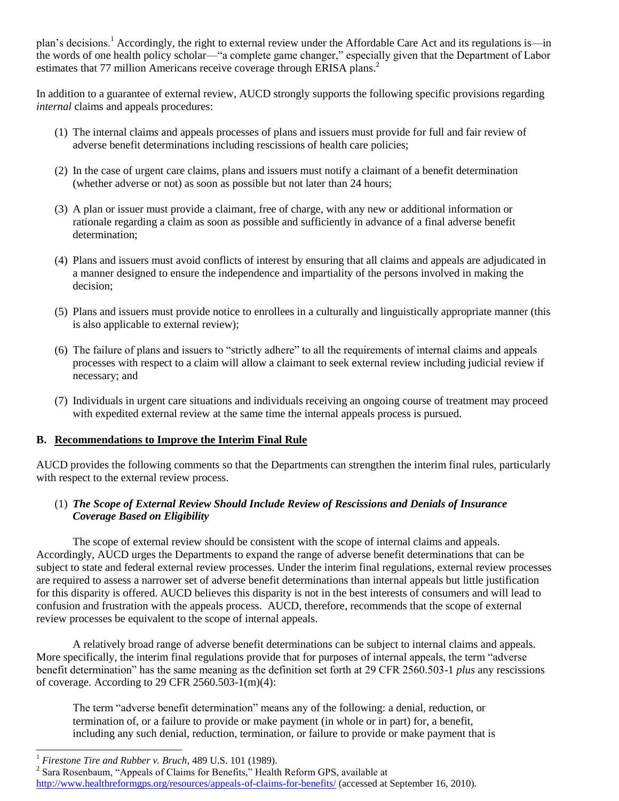plan's decisions.<sup>1</sup> Accordingly, the right to external review under the Affordable Care Act and its regulations is—in the words of one health policy scholar—"a complete game changer," especially given that the Department of Labor estimates that 77 million Americans receive coverage through ERISA plans.<sup>2</sup>

In addition to a guarantee of external review, AUCD strongly supports the following specific provisions regarding *internal* claims and appeals procedures:

- (1) The internal claims and appeals processes of plans and issuers must provide for full and fair review of adverse benefit determinations including rescissions of health care policies;
- (2) In the case of urgent care claims, plans and issuers must notify a claimant of a benefit determination (whether adverse or not) as soon as possible but not later than 24 hours;
- (3) A plan or issuer must provide a claimant, free of charge, with any new or additional information or rationale regarding a claim as soon as possible and sufficiently in advance of a final adverse benefit determination;
- (4) Plans and issuers must avoid conflicts of interest by ensuring that all claims and appeals are adjudicated in a manner designed to ensure the independence and impartiality of the persons involved in making the decision;
- (5) Plans and issuers must provide notice to enrollees in a culturally and linguistically appropriate manner (this is also applicable to external review);
- (6) The failure of plans and issuers to "strictly adhere" to all the requirements of internal claims and appeals processes with respect to a claim will allow a claimant to seek external review including judicial review if necessary; and
- (7) Individuals in urgent care situations and individuals receiving an ongoing course of treatment may proceed with expedited external review at the same time the internal appeals process is pursued.

#### **B. Recommendations to Improve the Interim Final Rule**

AUCD provides the following comments so that the Departments can strengthen the interim final rules, particularly with respect to the external review process.

#### (1) *The Scope of External Review Should Include Review of Rescissions and Denials of Insurance Coverage Based on Eligibility*

The scope of external review should be consistent with the scope of internal claims and appeals. Accordingly, AUCD urges the Departments to expand the range of adverse benefit determinations that can be subject to state and federal external review processes. Under the interim final regulations, external review processes are required to assess a narrower set of adverse benefit determinations than internal appeals but little justification for this disparity is offered. AUCD believes this disparity is not in the best interests of consumers and will lead to confusion and frustration with the appeals process. AUCD, therefore, recommends that the scope of external review processes be equivalent to the scope of internal appeals.

A relatively broad range of adverse benefit determinations can be subject to internal claims and appeals. More specifically, the interim final regulations provide that for purposes of internal appeals, the term "adverse benefit determination" has the same meaning as the definition set forth at 29 CFR 2560.503-1 *plus* any rescissions of coverage. According to 29 CFR  $2560.503-1(m)(4)$ :

The term "adverse benefit determination" means any of the following: a denial, reduction, or termination of, or a failure to provide or make payment (in whole or in part) for, a benefit, including any such denial, reduction, termination, or failure to provide or make payment that is

 $\overline{\phantom{a}}$ 

<sup>1</sup> *Firestone Tire and Rubber v. Bruch*, 489 U.S. 101 (1989).

<sup>&</sup>lt;sup>2</sup> Sara Rosenbaum, "Appeals of Claims for Benefits," Health Reform GPS, available at

<http://www.healthreformgps.org/resources/appeals-of-claims-for-benefits/> (accessed at September 16, 2010).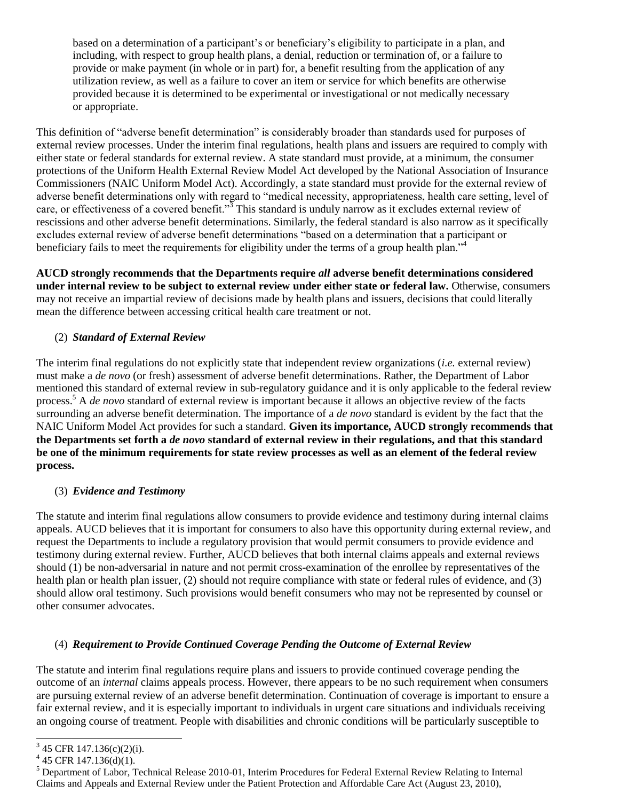based on a determination of a participant's or beneficiary's eligibility to participate in a plan, and including, with respect to group health plans, a denial, reduction or termination of, or a failure to provide or make payment (in whole or in part) for, a benefit resulting from the application of any utilization review, as well as a failure to cover an item or service for which benefits are otherwise provided because it is determined to be experimental or investigational or not medically necessary or appropriate.

This definition of "adverse benefit determination" is considerably broader than standards used for purposes of external review processes. Under the interim final regulations, health plans and issuers are required to comply with either state or federal standards for external review. A state standard must provide, at a minimum, the consumer protections of the Uniform Health External Review Model Act developed by the National Association of Insurance Commissioners (NAIC Uniform Model Act). Accordingly, a state standard must provide for the external review of adverse benefit determinations only with regard to "medical necessity, appropriateness, health care setting, level of care, or effectiveness of a covered benefit."<sup>3</sup> This standard is unduly narrow as it excludes external review of rescissions and other adverse benefit determinations. Similarly, the federal standard is also narrow as it specifically excludes external review of adverse benefit determinations "based on a determination that a participant or beneficiary fails to meet the requirements for eligibility under the terms of a group health plan."<sup>4</sup>

**AUCD strongly recommends that the Departments require** *all* **adverse benefit determinations considered under internal review to be subject to external review under either state or federal law.** Otherwise, consumers may not receive an impartial review of decisions made by health plans and issuers, decisions that could literally mean the difference between accessing critical health care treatment or not.

# (2) *Standard of External Review*

The interim final regulations do not explicitly state that independent review organizations (*i.e.* external review) must make a *de novo* (or fresh) assessment of adverse benefit determinations. Rather, the Department of Labor mentioned this standard of external review in sub-regulatory guidance and it is only applicable to the federal review process.<sup>5</sup> A *de novo* standard of external review is important because it allows an objective review of the facts surrounding an adverse benefit determination. The importance of a *de novo* standard is evident by the fact that the NAIC Uniform Model Act provides for such a standard. **Given its importance, AUCD strongly recommends that the Departments set forth a** *de novo* **standard of external review in their regulations, and that this standard be one of the minimum requirements for state review processes as well as an element of the federal review process.**

## (3) *Evidence and Testimony*

The statute and interim final regulations allow consumers to provide evidence and testimony during internal claims appeals. AUCD believes that it is important for consumers to also have this opportunity during external review, and request the Departments to include a regulatory provision that would permit consumers to provide evidence and testimony during external review. Further, AUCD believes that both internal claims appeals and external reviews should (1) be non-adversarial in nature and not permit cross-examination of the enrollee by representatives of the health plan or health plan issuer, (2) should not require compliance with state or federal rules of evidence, and (3) should allow oral testimony. Such provisions would benefit consumers who may not be represented by counsel or other consumer advocates.

## (4) *Requirement to Provide Continued Coverage Pending the Outcome of External Review*

The statute and interim final regulations require plans and issuers to provide continued coverage pending the outcome of an *internal* claims appeals process. However, there appears to be no such requirement when consumers are pursuing external review of an adverse benefit determination. Continuation of coverage is important to ensure a fair external review, and it is especially important to individuals in urgent care situations and individuals receiving an ongoing course of treatment. People with disabilities and chronic conditions will be particularly susceptible to

<sup>&</sup>lt;sup>3</sup> 45 CFR 147.136(c)(2)(i).

 $4\,$  45 CFR 147.136(d)(1).

<sup>5</sup> Department of Labor, Technical Release 2010-01, Interim Procedures for Federal External Review Relating to Internal Claims and Appeals and External Review under the Patient Protection and Affordable Care Act (August 23, 2010),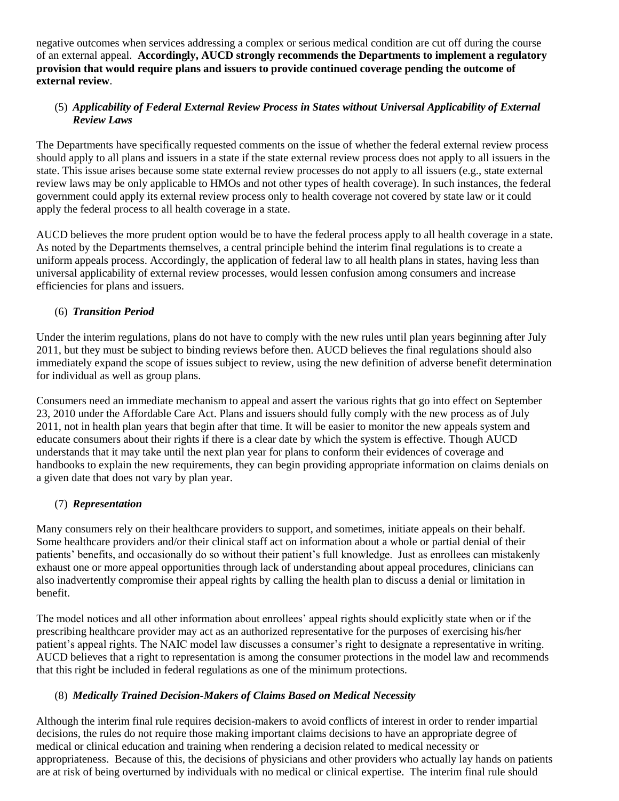negative outcomes when services addressing a complex or serious medical condition are cut off during the course of an external appeal. **Accordingly, AUCD strongly recommends the Departments to implement a regulatory provision that would require plans and issuers to provide continued coverage pending the outcome of external review**.

## (5) *Applicability of Federal External Review Process in States without Universal Applicability of External Review Laws*

The Departments have specifically requested comments on the issue of whether the federal external review process should apply to all plans and issuers in a state if the state external review process does not apply to all issuers in the state. This issue arises because some state external review processes do not apply to all issuers (e.g., state external review laws may be only applicable to HMOs and not other types of health coverage). In such instances, the federal government could apply its external review process only to health coverage not covered by state law or it could apply the federal process to all health coverage in a state.

AUCD believes the more prudent option would be to have the federal process apply to all health coverage in a state. As noted by the Departments themselves, a central principle behind the interim final regulations is to create a uniform appeals process. Accordingly, the application of federal law to all health plans in states, having less than universal applicability of external review processes, would lessen confusion among consumers and increase efficiencies for plans and issuers.

# (6) *Transition Period*

Under the interim regulations, plans do not have to comply with the new rules until plan years beginning after July 2011, but they must be subject to binding reviews before then. AUCD believes the final regulations should also immediately expand the scope of issues subject to review, using the new definition of adverse benefit determination for individual as well as group plans.

Consumers need an immediate mechanism to appeal and assert the various rights that go into effect on September 23, 2010 under the Affordable Care Act. Plans and issuers should fully comply with the new process as of July 2011, not in health plan years that begin after that time. It will be easier to monitor the new appeals system and educate consumers about their rights if there is a clear date by which the system is effective. Though AUCD understands that it may take until the next plan year for plans to conform their evidences of coverage and handbooks to explain the new requirements, they can begin providing appropriate information on claims denials on a given date that does not vary by plan year.

# (7) *Representation*

Many consumers rely on their healthcare providers to support, and sometimes, initiate appeals on their behalf. Some healthcare providers and/or their clinical staff act on information about a whole or partial denial of their patients' benefits, and occasionally do so without their patient's full knowledge. Just as enrollees can mistakenly exhaust one or more appeal opportunities through lack of understanding about appeal procedures, clinicians can also inadvertently compromise their appeal rights by calling the health plan to discuss a denial or limitation in benefit.

The model notices and all other information about enrollees' appeal rights should explicitly state when or if the prescribing healthcare provider may act as an authorized representative for the purposes of exercising his/her patient's appeal rights. The NAIC model law discusses a consumer's right to designate a representative in writing. AUCD believes that a right to representation is among the consumer protections in the model law and recommends that this right be included in federal regulations as one of the minimum protections.

## (8) *Medically Trained Decision-Makers of Claims Based on Medical Necessity*

Although the interim final rule requires decision-makers to avoid conflicts of interest in order to render impartial decisions, the rules do not require those making important claims decisions to have an appropriate degree of medical or clinical education and training when rendering a decision related to medical necessity or appropriateness. Because of this, the decisions of physicians and other providers who actually lay hands on patients are at risk of being overturned by individuals with no medical or clinical expertise. The interim final rule should